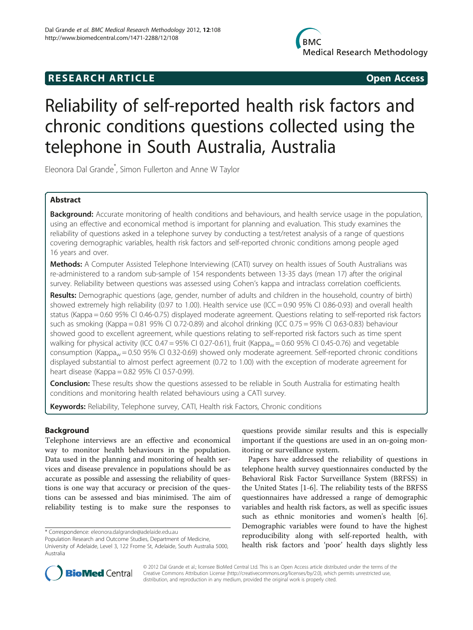## **RESEARCH ARTICLE Example 2018 12:00 Open Access**

# Reliability of self-reported health risk factors and chronic conditions questions collected using the telephone in South Australia, Australia

Eleonora Dal Grande\* , Simon Fullerton and Anne W Taylor

## Abstract

Background: Accurate monitoring of health conditions and behaviours, and health service usage in the population, using an effective and economical method is important for planning and evaluation. This study examines the reliability of questions asked in a telephone survey by conducting a test/retest analysis of a range of questions covering demographic variables, health risk factors and self-reported chronic conditions among people aged 16 years and over.

Methods: A Computer Assisted Telephone Interviewing (CATI) survey on health issues of South Australians was re-administered to a random sub-sample of 154 respondents between 13-35 days (mean 17) after the original survey. Reliability between questions was assessed using Cohen's kappa and intraclass correlation coefficients.

Results: Demographic questions (age, gender, number of adults and children in the household, country of birth) showed extremely high reliability (0.97 to 1.00). Health service use (ICC = 0.90 95% CI 0.86-0.93) and overall health status (Kappa = 0.60 95% CI 0.46-0.75) displayed moderate agreement. Questions relating to self-reported risk factors such as smoking (Kappa = 0.81 95% CI 0.72-0.89) and alcohol drinking (ICC 0.75 = 95% CI 0.63-0.83) behaviour showed good to excellent agreement, while questions relating to self-reported risk factors such as time spent walking for physical activity (ICC 0.47 = 95% CI 0.27-0.61), fruit (Kappa<sub>w</sub> = 0.60 95% CI 0.45-0.76) and vegetable consumption (Kappa<sub>w</sub> = 0.50 95% CI 0.32-0.69) showed only moderate agreement. Self-reported chronic conditions displayed substantial to almost perfect agreement (0.72 to 1.00) with the exception of moderate agreement for heart disease (Kappa = 0.82 95% CI 0.57-0.99).

Conclusion: These results show the questions assessed to be reliable in South Australia for estimating health conditions and monitoring health related behaviours using a CATI survey.

Keywords: Reliability, Telephone survey, CATI, Health risk Factors, Chronic conditions

## **Background**

Telephone interviews are an effective and economical way to monitor health behaviours in the population. Data used in the planning and monitoring of health services and disease prevalence in populations should be as accurate as possible and assessing the reliability of questions is one way that accuracy or precision of the questions can be assessed and bias minimised. The aim of reliability testing is to make sure the responses to

questions provide similar results and this is especially important if the questions are used in an on-going monitoring or surveillance system.

Papers have addressed the reliability of questions in telephone health survey questionnaires conducted by the Behavioral Risk Factor Surveillance System (BRFSS) in the United States [[1](#page-8-0)[-6\]](#page-9-0). The reliability tests of the BRFSS questionnaires have addressed a range of demographic variables and health risk factors, as well as specific issues such as ethnic monitories and women's health [\[6](#page-9-0)]. Demographic variables were found to have the highest reproducibility along with self-reported health, with health risk factors and 'poor' health days slightly less



© 2012 Dal Grande et al.; licensee BioMed Central Ltd. This is an Open Access article distributed under the terms of the Creative Commons Attribution License (<http://creativecommons.org/licenses/by/2.0>), which permits unrestricted use, distribution, and reproduction in any medium, provided the original work is properly cited.

<sup>\*</sup> Correspondence: [eleonora.dalgrande@adelaide.edu.au](mailto:eleonora.dalgrande@adelaide.edu.au)

Population Research and Outcome Studies, Department of Medicine, University of Adelaide, Level 3, 122 Frome St, Adelaide, South Australia 5000, Australia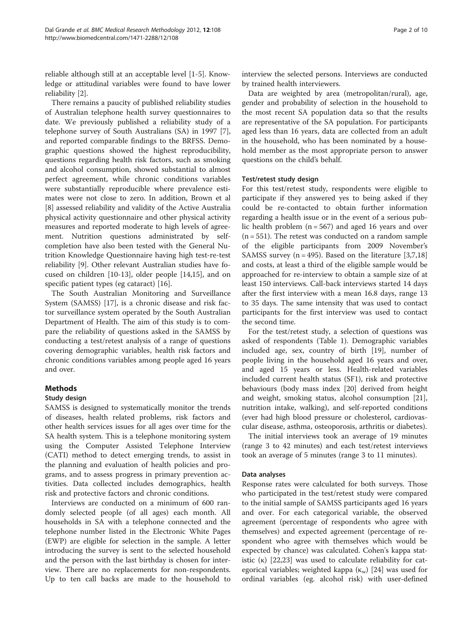reliable although still at an acceptable level [\[1-](#page-8-0)[5](#page-9-0)]. Knowledge or attitudinal variables were found to have lower reliability [[2\]](#page-8-0).

There remains a paucity of published reliability studies of Australian telephone health survey questionnaires to date. We previously published a reliability study of a telephone survey of South Australians (SA) in 1997 [\[7](#page-9-0)], and reported comparable findings to the BRFSS. Demographic questions showed the highest reproducibility, questions regarding health risk factors, such as smoking and alcohol consumption, showed substantial to almost perfect agreement, while chronic conditions variables were substantially reproducible where prevalence estimates were not close to zero. In addition, Brown et al [[8\]](#page-9-0) assessed reliability and validity of the Active Australia physical activity questionnaire and other physical activity measures and reported moderate to high levels of agreement. Nutrition questions administrated by selfcompletion have also been tested with the General Nutrition Knowledge Questionnaire having high test-re-test reliability [\[9](#page-9-0)]. Other relevant Australian studies have focused on children [[10-13\]](#page-9-0), older people [\[14,15\]](#page-9-0), and on specific patient types (eg cataract) [[16](#page-9-0)].

The South Australian Monitoring and Surveillance System (SAMSS) [[17\]](#page-9-0), is a chronic disease and risk factor surveillance system operated by the South Australian Department of Health. The aim of this study is to compare the reliability of questions asked in the SAMSS by conducting a test/retest analysis of a range of questions covering demographic variables, health risk factors and chronic conditions variables among people aged 16 years and over.

## Methods

## Study design

SAMSS is designed to systematically monitor the trends of diseases, health related problems, risk factors and other health services issues for all ages over time for the SA health system. This is a telephone monitoring system using the Computer Assisted Telephone Interview (CATI) method to detect emerging trends, to assist in the planning and evaluation of health policies and programs, and to assess progress in primary prevention activities. Data collected includes demographics, health risk and protective factors and chronic conditions.

Interviews are conducted on a minimum of 600 randomly selected people (of all ages) each month. All households in SA with a telephone connected and the telephone number listed in the Electronic White Pages (EWP) are eligible for selection in the sample. A letter introducing the survey is sent to the selected household and the person with the last birthday is chosen for interview. There are no replacements for non-respondents. Up to ten call backs are made to the household to interview the selected persons. Interviews are conducted by trained health interviewers.

Data are weighted by area (metropolitan/rural), age, gender and probability of selection in the household to the most recent SA population data so that the results are representative of the SA population. For participants aged less than 16 years, data are collected from an adult in the household, who has been nominated by a household member as the most appropriate person to answer questions on the child's behalf.

#### Test/retest study design

For this test/retest study, respondents were eligible to participate if they answered yes to being asked if they could be re-contacted to obtain further information regarding a health issue or in the event of a serious public health problem  $(n = 567)$  and aged 16 years and over  $(n = 551)$ . The retest was conducted on a random sample of the eligible participants from 2009 November's SAMSS survey ( $n = 495$ ). Based on the literature [\[3](#page-8-0),[7](#page-9-0),[18](#page-9-0)] and costs, at least a third of the eligible sample would be approached for re-interview to obtain a sample size of at least 150 interviews. Call-back interviews started 14 days after the first interview with a mean 16.8 days, range 13 to 35 days. The same intensity that was used to contact participants for the first interview was used to contact the second time.

For the test/retest study, a selection of questions was asked of respondents (Table [1\)](#page-2-0). Demographic variables included age, sex, country of birth [[19\]](#page-9-0), number of people living in the household aged 16 years and over, and aged 15 years or less. Health-related variables included current health status (SF1), risk and protective behaviours (body mass index [\[20](#page-9-0)] derived from height and weight, smoking status, alcohol consumption [\[21](#page-9-0)], nutrition intake, walking), and self-reported conditions (ever had high blood pressure or cholesterol, cardiovascular disease, asthma, osteoporosis, arthritis or diabetes).

The initial interviews took an average of 19 minutes (range 3 to 42 minutes) and each test/retest interviews took an average of 5 minutes (range 3 to 11 minutes).

## Data analyses

Response rates were calculated for both surveys. Those who participated in the test/retest study were compared to the initial sample of SAMSS participants aged 16 years and over. For each categorical variable, the observed agreement (percentage of respondents who agree with themselves) and expected agreement (percentage of respondent who agree with themselves which would be expected by chance) was calculated. Cohen's kappa statistic (κ)  $[22,23]$  $[22,23]$  was used to calculate reliability for categorical variables; weighted kappa  $(\kappa_w)$  [\[24](#page-9-0)] was used for ordinal variables (eg. alcohol risk) with user-defined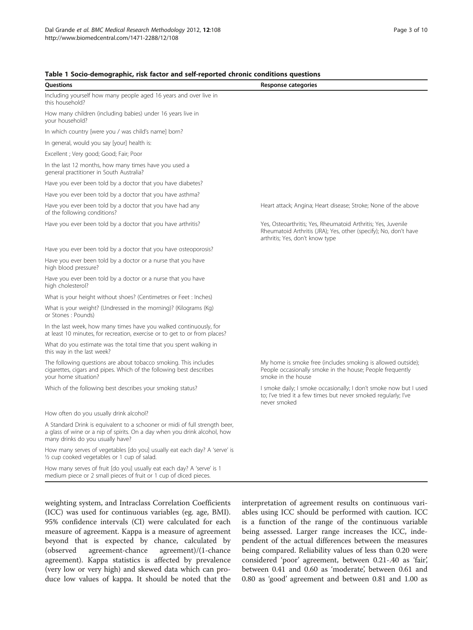<span id="page-2-0"></span>

| Table 1 Socio-demographic, risk factor and self-reported chronic conditions questions                                                                                                        |                                                                                                                                                                      |
|----------------------------------------------------------------------------------------------------------------------------------------------------------------------------------------------|----------------------------------------------------------------------------------------------------------------------------------------------------------------------|
| Questions                                                                                                                                                                                    | <b>Response categories</b>                                                                                                                                           |
| Including yourself how many people aged 16 years and over live in<br>this household?                                                                                                         |                                                                                                                                                                      |
| How many children (including babies) under 16 years live in<br>your household?                                                                                                               |                                                                                                                                                                      |
| In which country [were you / was child's name] born?                                                                                                                                         |                                                                                                                                                                      |
| In general, would you say [your] health is:                                                                                                                                                  |                                                                                                                                                                      |
| Excellent ; Very good; Good; Fair; Poor                                                                                                                                                      |                                                                                                                                                                      |
| In the last 12 months, how many times have you used a<br>general practitioner in South Australia?                                                                                            |                                                                                                                                                                      |
| Have you ever been told by a doctor that you have diabetes?                                                                                                                                  |                                                                                                                                                                      |
| Have you ever been told by a doctor that you have asthma?                                                                                                                                    |                                                                                                                                                                      |
| Have you ever been told by a doctor that you have had any<br>of the following conditions?                                                                                                    | Heart attack; Angina; Heart disease; Stroke; None of the above                                                                                                       |
| Have you ever been told by a doctor that you have arthritis?                                                                                                                                 | Yes, Osteoarthritis; Yes, Rheumatoid Arthritis; Yes, Juvenile<br>Rheumatoid Arthritis (JRA); Yes, other (specify); No, don't have<br>arthritis; Yes, don't know type |
| Have you ever been told by a doctor that you have osteoporosis?                                                                                                                              |                                                                                                                                                                      |
| Have you ever been told by a doctor or a nurse that you have<br>high blood pressure?                                                                                                         |                                                                                                                                                                      |
| Have you ever been told by a doctor or a nurse that you have<br>high cholesterol?                                                                                                            |                                                                                                                                                                      |
| What is your height without shoes? (Centimetres or Feet : Inches)                                                                                                                            |                                                                                                                                                                      |
| What is your weight? (Undressed in the morning)? (Kilograms (Kg)<br>or Stones : Pounds)                                                                                                      |                                                                                                                                                                      |
| In the last week, how many times have you walked continuously, for<br>at least 10 minutes, for recreation, exercise or to get to or from places?                                             |                                                                                                                                                                      |
| What do you estimate was the total time that you spent walking in<br>this way in the last week?                                                                                              |                                                                                                                                                                      |
| The following questions are about tobacco smoking. This includes<br>cigarettes, cigars and pipes. Which of the following best describes<br>your home situation?                              | My home is smoke free (includes smoking is allowed outside);<br>People occasionally smoke in the house; People frequently<br>smoke in the house                      |
| Which of the following best describes your smoking status?                                                                                                                                   | I smoke daily; I smoke occasionally; I don't smoke now but I used<br>to; I've tried it a few times but never smoked regularly; I've<br>never smoked                  |
| How often do you usually drink alcohol?                                                                                                                                                      |                                                                                                                                                                      |
| A Standard Drink is equivalent to a schooner or midi of full strength beer,<br>a glass of wine or a nip of spirits. On a day when you drink alcohol, how<br>many drinks do you usually have? |                                                                                                                                                                      |
| How many serves of vegetables [do you] usually eat each day? A 'serve' is<br>1/2 cup cooked vegetables or 1 cup of salad.                                                                    |                                                                                                                                                                      |
| How many serves of fruit [do you] usually eat each day? A 'serve' is 1<br>medium piece or 2 small pieces of fruit or 1 cup of diced pieces.                                                  |                                                                                                                                                                      |

weighting system, and Intraclass Correlation Coefficients (ICC) was used for continuous variables (eg. age, BMI). 95% confidence intervals (CI) were calculated for each measure of agreement. Kappa is a measure of agreement beyond that is expected by chance, calculated by (observed agreement-chance agreement)/(1-chance agreement). Kappa statistics is affected by prevalence (very low or very high) and skewed data which can produce low values of kappa. It should be noted that the

interpretation of agreement results on continuous variables using ICC should be performed with caution. ICC is a function of the range of the continuous variable being assessed. Larger range increases the ICC, independent of the actual differences between the measures being compared. Reliability values of less than 0.20 were considered 'poor' agreement, between 0.21-.40 as 'fair', between 0.41 and 0.60 as 'moderate', between 0.61 and 0.80 as 'good' agreement and between 0.81 and 1.00 as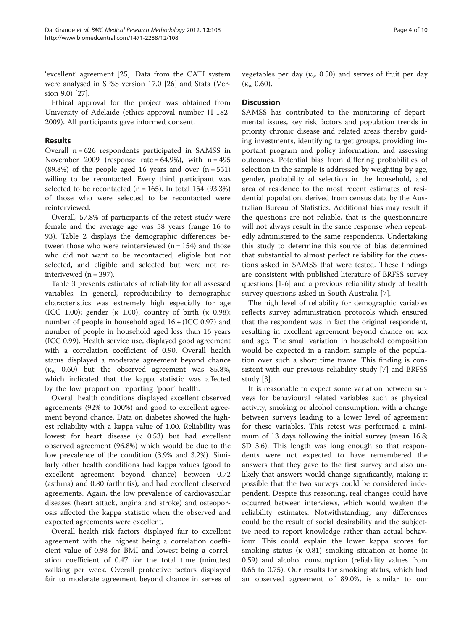'excellent' agreement [[25\]](#page-9-0). Data from the CATI system were analysed in SPSS version 17.0 [\[26\]](#page-9-0) and Stata (Version 9.0) [[27\]](#page-9-0).

Ethical approval for the project was obtained from University of Adelaide (ethics approval number H-182- 2009). All participants gave informed consent.

## Results

Overall  $n = 626$  respondents participated in SAMSS in November 2009 (response rate =  $64.9\%$ ), with  $n = 495$  $(89.8\%)$  of the people aged 16 years and over  $(n=551)$ willing to be recontacted. Every third participant was selected to be recontacted  $(n = 165)$ . In total 154 (93.3%) of those who were selected to be recontacted were reinterviewed.

Overall, 57.8% of participants of the retest study were female and the average age was 58 years (range 16 to 93). Table [2](#page-4-0) displays the demographic differences between those who were reinterviewed  $(n = 154)$  and those who did not want to be recontacted, eligible but not selected, and eligible and selected but were not reinterivewed  $(n = 397)$ .

Table [3](#page-5-0) presents estimates of reliability for all assessed variables. In general, reproducibility to demographic characteristics was extremely high especially for age (ICC 1.00); gender (κ 1.00); country of birth (κ 0.98); number of people in household aged 16 + (ICC 0.97) and number of people in household aged less than 16 years (ICC 0.99). Health service use, displayed good agreement with a correlation coefficient of 0.90. Overall health status displayed a moderate agreement beyond chance  $(\kappa_{w}$  0.60) but the observed agreement was 85.8%, which indicated that the kappa statistic was affected by the low proportion reporting 'poor' health.

Overall health conditions displayed excellent observed agreements (92% to 100%) and good to excellent agreement beyond chance. Data on diabetes showed the highest reliability with a kappa value of 1.00. Reliability was lowest for heart disease (κ 0.53) but had excellent observed agreement (96.8%) which would be due to the low prevalence of the condition (3.9% and 3.2%). Similarly other health conditions had kappa values (good to excellent agreement beyond chance) between 0.72 (asthma) and 0.80 (arthritis), and had excellent observed agreements. Again, the low prevalence of cardiovascular diseases (heart attack, angina and stroke) and osteoporosis affected the kappa statistic when the observed and expected agreements were excellent.

Overall health risk factors displayed fair to excellent agreement with the highest being a correlation coefficient value of 0.98 for BMI and lowest being a correlation coefficient of 0.47 for the total time (minutes) walking per week. Overall protective factors displayed fair to moderate agreement beyond chance in serves of vegetables per day ( $\kappa_{\rm w}$  0.50) and serves of fruit per day  $(\kappa_{w} 0.60).$ 

## **Discussion**

SAMSS has contributed to the monitoring of departmental issues, key risk factors and population trends in priority chronic disease and related areas thereby guiding investments, identifying target groups, providing important program and policy information, and assessing outcomes. Potential bias from differing probabilities of selection in the sample is addressed by weighting by age, gender, probability of selection in the household, and area of residence to the most recent estimates of residential population, derived from census data by the Australian Bureau of Statistics. Additional bias may result if the questions are not reliable, that is the questionnaire will not always result in the same response when repeatedly administered to the same respondents. Undertaking this study to determine this source of bias determined that substantial to almost perfect reliability for the questions asked in SAMSS that were tested. These findings are consistent with published literature of BRFSS survey questions [\[1](#page-8-0)-[6\]](#page-9-0) and a previous reliability study of health survey questions asked in South Australia [\[7](#page-9-0)].

The high level of reliability for demographic variables reflects survey administration protocols which ensured that the respondent was in fact the original respondent, resulting in excellent agreement beyond chance on sex and age. The small variation in household composition would be expected in a random sample of the population over such a short time frame. This finding is consistent with our previous reliability study [\[7](#page-9-0)] and BRFSS study [[3\]](#page-8-0).

It is reasonable to expect some variation between surveys for behavioural related variables such as physical activity, smoking or alcohol consumption, with a change between surveys leading to a lower level of agreement for these variables. This retest was performed a minimum of 13 days following the initial survey (mean 16.8; SD 3.6). This length was long enough so that respondents were not expected to have remembered the answers that they gave to the first survey and also unlikely that answers would change significantly, making it possible that the two surveys could be considered independent. Despite this reasoning, real changes could have occurred between interviews, which would weaken the reliability estimates. Notwithstanding, any differences could be the result of social desirability and the subjective need to report knowledge rather than actual behaviour. This could explain the lower kappa scores for smoking status (κ 0.81) smoking situation at home (κ 0.59) and alcohol consumption (reliability values from 0.66 to 0.75). Our results for smoking status, which had an observed agreement of 89.0%, is similar to our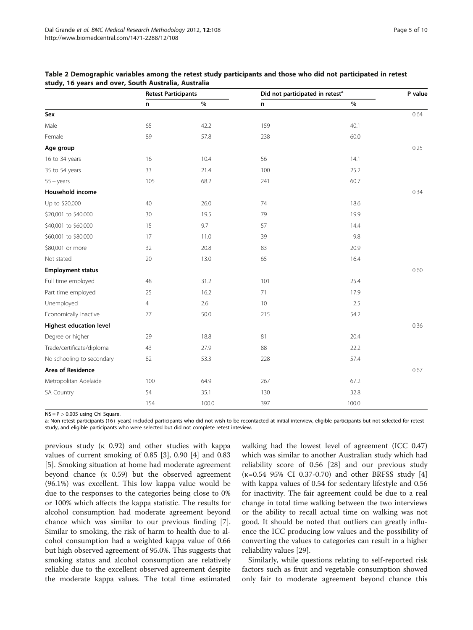|                                | <b>Retest Participants</b> |       |     | Did not participated in retest <sup>a</sup> |      |
|--------------------------------|----------------------------|-------|-----|---------------------------------------------|------|
|                                | n                          | $\%$  | n   | $\%$                                        |      |
| Sex                            |                            |       |     |                                             | 0.64 |
| Male                           | 65                         | 42.2  | 159 | 40.1                                        |      |
| Female                         | 89                         | 57.8  | 238 | 60.0                                        |      |
| Age group                      |                            |       |     |                                             | 0.25 |
| 16 to 34 years                 | 16                         | 10.4  | 56  | 14.1                                        |      |
| 35 to 54 years                 | 33                         | 21.4  | 100 | 25.2                                        |      |
| $55 + \gamma$ ears             | 105                        | 68.2  | 241 | 60.7                                        |      |
| Household income               |                            |       |     |                                             | 0.34 |
| Up to \$20,000                 | 40                         | 26.0  | 74  | 18.6                                        |      |
| \$20,001 to \$40,000           | 30                         | 19.5  | 79  | 19.9                                        |      |
| \$40,001 to \$60,000           | 15                         | 9.7   | 57  | 14.4                                        |      |
| \$60,001 to \$80,000           | 17                         | 11.0  | 39  | 9.8                                         |      |
| \$80,001 or more               | 32                         | 20.8  | 83  | 20.9                                        |      |
| Not stated                     | 20                         | 13.0  | 65  | 16.4                                        |      |
| <b>Employment status</b>       |                            |       |     |                                             | 0.60 |
| Full time employed             | 48                         | 31.2  | 101 | 25.4                                        |      |
| Part time employed             | 25                         | 16.2  | 71  | 17.9                                        |      |
| Unemployed                     | 4                          | 2.6   | 10  | 2.5                                         |      |
| Economically inactive          | 77                         | 50.0  | 215 | 54.2                                        |      |
| <b>Highest education level</b> |                            |       |     |                                             | 0.36 |
| Degree or higher               | 29                         | 18.8  | 81  | 20.4                                        |      |
| Trade/certificate/diploma      | 43                         | 27.9  | 88  | 22.2                                        |      |
| No schooling to secondary      | 82                         | 53.3  | 228 | 57.4                                        |      |
| Area of Residence              |                            |       |     |                                             | 0.67 |
| Metropolitan Adelaide          | 100                        | 64.9  | 267 | 67.2                                        |      |
| <b>SA Country</b>              | 54                         | 35.1  | 130 | 32.8                                        |      |
|                                | 154                        | 100.0 | 397 | 100.0                                       |      |

<span id="page-4-0"></span>

| Table 2 Demographic variables among the retest study participants and those who did not participated in retest |
|----------------------------------------------------------------------------------------------------------------|
| study, 16 years and over, South Australia, Australia                                                           |

 $NS = P > 0.005$  using Chi Square.

a: Non-retest participants (16+ years) included participants who did not wish to be recontacted at initial interview, eligible participants but not selected for retest study, and eligible participants who were selected but did not complete retest inteview.

previous study (κ 0.92) and other studies with kappa values of current smoking of 0.85 [\[3](#page-8-0)], 0.90 [[4\]](#page-8-0) and 0.83 [[5\]](#page-9-0). Smoking situation at home had moderate agreement beyond chance (κ 0.59) but the observed agreement (96.1%) was excellent. This low kappa value would be due to the responses to the categories being close to 0% or 100% which affects the kappa statistic. The results for alcohol consumption had moderate agreement beyond chance which was similar to our previous finding [\[7](#page-9-0)]. Similar to smoking, the risk of harm to health due to alcohol consumption had a weighted kappa value of 0.66 but high observed agreement of 95.0%. This suggests that smoking status and alcohol consumption are relatively reliable due to the excellent observed agreement despite the moderate kappa values. The total time estimated

walking had the lowest level of agreement (ICC 0.47) which was similar to another Australian study which had reliability score of 0.56 [[28\]](#page-9-0) and our previous study  $(k=0.54 95\% \text{ CI } 0.37-0.70)$  and other BRFSS study [\[4](#page-8-0)] with kappa values of 0.54 for sedentary lifestyle and 0.56 for inactivity. The fair agreement could be due to a real change in total time walking between the two interviews or the ability to recall actual time on walking was not good. It should be noted that outliers can greatly influence the ICC producing low values and the possibility of converting the values to categories can result in a higher reliability values [\[29\]](#page-9-0).

Similarly, while questions relating to self-reported risk factors such as fruit and vegetable consumption showed only fair to moderate agreement beyond chance this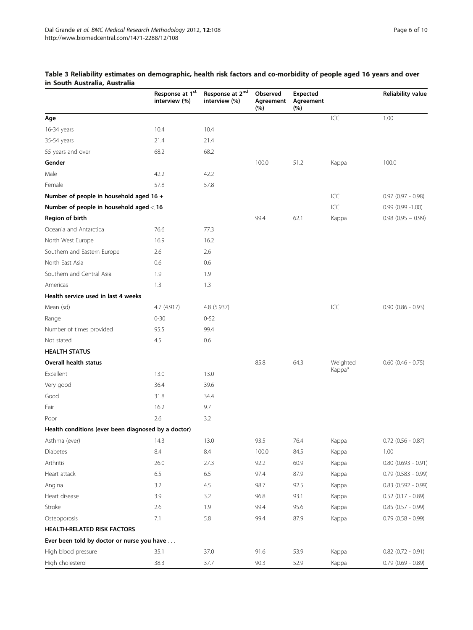|                                                     | Response at 1st<br>interview (%) | Response at 2nd<br>interview (%) | Observed<br>Agreement<br>(%) | <b>Expected</b><br>Agreement<br>(%) |                    | <b>Reliability value</b> |
|-----------------------------------------------------|----------------------------------|----------------------------------|------------------------------|-------------------------------------|--------------------|--------------------------|
| Age                                                 |                                  |                                  |                              |                                     | ICC                | 1.00                     |
| 16-34 years                                         | 10.4                             | 10.4                             |                              |                                     |                    |                          |
| 35-54 years                                         | 21.4                             | 21.4                             |                              |                                     |                    |                          |
| 55 years and over                                   | 68.2                             | 68.2                             |                              |                                     |                    |                          |
| Gender                                              |                                  |                                  | 100.0                        | 51.2                                | Kappa              | 100.0                    |
| Male                                                | 42.2                             | 42.2                             |                              |                                     |                    |                          |
| Female                                              | 57.8                             | 57.8                             |                              |                                     |                    |                          |
| Number of people in household aged 16 +             |                                  |                                  |                              |                                     | ICC                | $0.97$ $(0.97 - 0.98)$   |
| Number of people in household aged < 16             |                                  |                                  |                              |                                     | ICC                | $0.99(0.99 - 1.00)$      |
| Region of birth                                     |                                  |                                  | 99.4                         | 62.1                                | Kappa              | $0.98$ (0.95 - 0.99)     |
| Oceania and Antarctica                              | 76.6                             | 77.3                             |                              |                                     |                    |                          |
| North West Europe                                   | 16.9                             | 16.2                             |                              |                                     |                    |                          |
| Southern and Eastern Europe                         | 2.6                              | 2.6                              |                              |                                     |                    |                          |
| North East Asia                                     | 0.6                              | 0.6                              |                              |                                     |                    |                          |
| Southern and Central Asia                           | 1.9                              | 1.9                              |                              |                                     |                    |                          |
| Americas                                            | 1.3                              | 1.3                              |                              |                                     |                    |                          |
| Health service used in last 4 weeks                 |                                  |                                  |                              |                                     |                    |                          |
| Mean (sd)                                           | 4.7 (4.917)                      | 4.8 (5.937)                      |                              |                                     | ICC                | $0.90$ $(0.86 - 0.93)$   |
| Range                                               | $0 - 30$                         | $0 - 52$                         |                              |                                     |                    |                          |
| Number of times provided                            | 95.5                             | 99.4                             |                              |                                     |                    |                          |
| Not stated                                          | 4.5                              | 0.6                              |                              |                                     |                    |                          |
| <b>HEALTH STATUS</b>                                |                                  |                                  |                              |                                     |                    |                          |
| Overall health status                               |                                  |                                  | 85.8                         | 64.3                                | Weighted           | $0.60$ $(0.46 - 0.75)$   |
| Excellent                                           | 13.0                             | 13.0                             |                              |                                     | Kappa <sup>a</sup> |                          |
| Very good                                           | 36.4                             | 39.6                             |                              |                                     |                    |                          |
| Good                                                | 31.8                             | 34.4                             |                              |                                     |                    |                          |
| Fair                                                | 16.2                             | 9.7                              |                              |                                     |                    |                          |
| Poor                                                | 2.6                              | 3.2                              |                              |                                     |                    |                          |
| Health conditions (ever been diagnosed by a doctor) |                                  |                                  |                              |                                     |                    |                          |
| Asthma (ever)                                       | 14.3                             | 13.0                             | 93.5                         | 76.4                                | Kappa              | $0.72$ (0.56 - 0.87)     |
| <b>Diabetes</b>                                     | 8.4                              | 8.4                              | 100.0                        | 84.5                                | Kappa              | 1.00                     |
| Arthritis                                           | 26.0                             | 27.3                             | 92.2                         | 60.9                                | Kappa              | $0.80$ (0.693 - 0.91)    |
| Heart attack                                        | 6.5                              | 6.5                              | 97.4                         | 87.9                                | Kappa              | $0.79$ (0.583 - 0.99)    |
| Angina                                              | 3.2                              | 4.5                              | 98.7                         | 92.5                                | Kappa              | $0.83$ (0.592 - 0.99)    |
| Heart disease                                       | 3.9                              | 3.2                              | 96.8                         | 93.1                                | Kappa              | $0.52$ (0.17 - 0.89)     |
| Stroke                                              | 2.6                              | 1.9                              | 99.4                         | 95.6                                | Kappa              | $0.85$ (0.57 - 0.99)     |
| Osteoporosis                                        | 7.1                              | 5.8                              | 99.4                         | 87.9                                | Kappa              | $0.79$ $(0.58 - 0.99)$   |
| HEALTH-RELATED RISK FACTORS                         |                                  |                                  |                              |                                     |                    |                          |
| Ever been told by doctor or nurse you have          |                                  |                                  |                              |                                     |                    |                          |
| High blood pressure                                 | 35.1                             | 37.0                             | 91.6                         | 53.9                                | Kappa              | $0.82$ (0.72 - 0.91)     |
| High cholesterol                                    | 38.3                             | 37.7                             | 90.3                         | 52.9                                | Kappa              | $0.79$ $(0.69 - 0.89)$   |

## <span id="page-5-0"></span>Table 3 Reliability estimates on demographic, health risk factors and co-morbidity of people aged 16 years and over in South Australia, Australia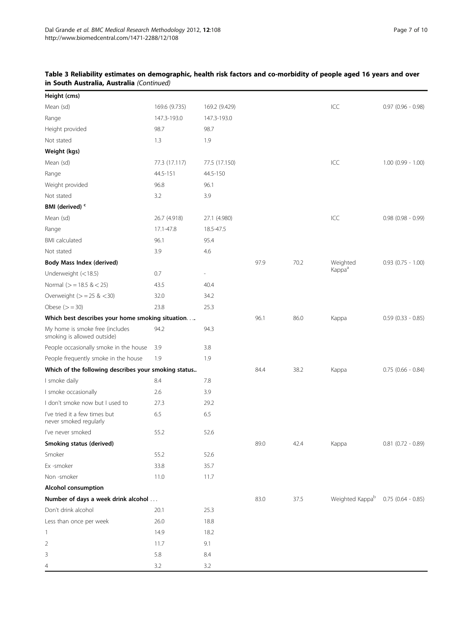| Height (cms)                                                   |               |               |      |      |                                    |                        |
|----------------------------------------------------------------|---------------|---------------|------|------|------------------------------------|------------------------|
| Mean (sd)                                                      | 169.6 (9.735) | 169.2 (9.429) |      |      | ICC                                | $0.97$ $(0.96 - 0.98)$ |
| Range                                                          | 147.3-193.0   | 147.3-193.0   |      |      |                                    |                        |
| Height provided                                                | 98.7          | 98.7          |      |      |                                    |                        |
| Not stated                                                     | 1.3           | 1.9           |      |      |                                    |                        |
| Weight (kgs)                                                   |               |               |      |      |                                    |                        |
| Mean (sd)                                                      | 77.3 (17.117) | 77.5 (17.150) |      |      | ICC                                | $1.00$ (0.99 - 1.00)   |
| Range                                                          | 44.5-151      | 44.5-150      |      |      |                                    |                        |
| Weight provided                                                | 96.8          | 96.1          |      |      |                                    |                        |
| Not stated                                                     | 3.2           | 3.9           |      |      |                                    |                        |
| BMI (derived) <sup>c</sup>                                     |               |               |      |      |                                    |                        |
| Mean (sd)                                                      | 26.7 (4.918)  | 27.1 (4.980)  |      |      | ICC                                | $0.98$ $(0.98 - 0.99)$ |
| Range                                                          | 17.1-47.8     | 18.5-47.5     |      |      |                                    |                        |
| <b>BMI</b> calculated                                          | 96.1          | 95.4          |      |      |                                    |                        |
| Not stated                                                     | 3.9           | 4.6           |      |      |                                    |                        |
| <b>Body Mass Index (derived)</b>                               |               |               | 97.9 | 70.2 | Weighted                           | $0.93$ $(0.75 - 1.00)$ |
| Underweight (<18.5)                                            | 0.7           |               |      |      | Kappa <sup>a</sup>                 |                        |
| Normal ( $>$ = 18.5 & < 25)                                    | 43.5          | 40.4          |      |      |                                    |                        |
| Overweight ( $> = 25$ & $<$ 30)                                | 32.0          | 34.2          |      |      |                                    |                        |
| Obese $(>=30)$                                                 | 23.8          | 25.3          |      |      |                                    |                        |
| Which best describes your home smoking situation               |               |               | 96.1 | 86.0 | Kappa                              | $0.59$ $(0.33 - 0.85)$ |
| My home is smoke free (includes<br>smoking is allowed outside) | 94.2          | 94.3          |      |      |                                    |                        |
| People occasionally smoke in the house                         | 3.9           | 3.8           |      |      |                                    |                        |
| People frequently smoke in the house                           | 1.9           | 1.9           |      |      |                                    |                        |
| Which of the following describes your smoking status           |               |               | 84.4 | 38.2 | Kappa                              | $0.75$ $(0.66 - 0.84)$ |
| I smoke daily                                                  | 8.4           | 7.8           |      |      |                                    |                        |
| I smoke occasionally                                           | 2.6           | 3.9           |      |      |                                    |                        |
| I don't smoke now but I used to                                | 27.3          | 29.2          |      |      |                                    |                        |
| I've tried it a few times but<br>never smoked regularly        | 6.5           | 6.5           |      |      |                                    |                        |
| I've never smoked                                              | 55.2          | 52.6          |      |      |                                    |                        |
| Smoking status (derived)                                       |               |               | 89.0 | 42.4 | Kappa                              | $0.81$ $(0.72 - 0.89)$ |
| Smoker                                                         | 55.2          | 52.6          |      |      |                                    |                        |
| Ex-smoker                                                      | 33.8          | 35.7          |      |      |                                    |                        |
| Non-smoker                                                     | 11.0          | 11.7          |      |      |                                    |                        |
| <b>Alcohol consumption</b>                                     |               |               |      |      |                                    |                        |
| Number of days a week drink alcohol                            |               |               | 83.0 | 37.5 | Weighted Kappab 0.75 (0.64 - 0.85) |                        |
| Don't drink alcohol                                            | 20.1          | 25.3          |      |      |                                    |                        |
| Less than once per week                                        | 26.0          | 18.8          |      |      |                                    |                        |
| 1                                                              | 14.9          | 18.2          |      |      |                                    |                        |
| $\overline{c}$                                                 | 11.7          | 9.1           |      |      |                                    |                        |
| 3                                                              | 5.8           | 8.4           |      |      |                                    |                        |
| 4                                                              | 3.2           | $3.2\,$       |      |      |                                    |                        |

## Table 3 Reliability estimates on demographic, health risk factors and co-morbidity of people aged 16 years and over in South Australia, Australia (Continued)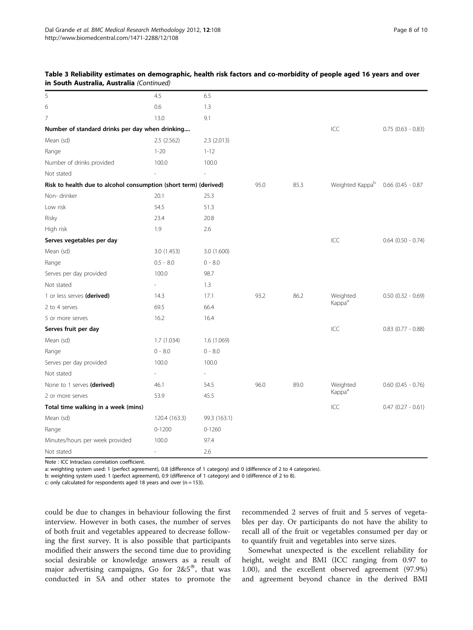| 5                                                                | 4.5           | 6.5          |      |      |                    |                        |
|------------------------------------------------------------------|---------------|--------------|------|------|--------------------|------------------------|
| 6                                                                | 0.6           | 1.3          |      |      |                    |                        |
| $\overline{7}$                                                   | 13.0          | 9.1          |      |      |                    |                        |
| Number of standard drinks per day when drinking                  |               |              |      |      | ICC                | $0.75$ $(0.63 - 0.83)$ |
| Mean (sd)                                                        | 2.5(2.562)    | 2.3(2.013)   |      |      |                    |                        |
| Range                                                            | $1 - 20$      | $1 - 12$     |      |      |                    |                        |
| Number of drinks provided                                        | 100.0         | 100.0        |      |      |                    |                        |
| Not stated                                                       |               |              |      |      |                    |                        |
| Risk to health due to alcohol consumption (short term) (derived) |               |              | 95.0 | 85.3 | Weighted Kappab    | $0.66$ $(0.45 - 0.87)$ |
| Non-drinker                                                      | 20.1          | 25.3         |      |      |                    |                        |
| Low risk                                                         | 54.5          | 51.3         |      |      |                    |                        |
| Risky                                                            | 23.4          | 20.8         |      |      |                    |                        |
| High risk                                                        | 1.9           | 2.6          |      |      |                    |                        |
| Serves vegetables per day                                        |               |              |      |      | ICC                | $0.64$ $(0.50 - 0.74)$ |
| Mean (sd)                                                        | 3.0 (1.453)   | 3.0(1.600)   |      |      |                    |                        |
| Range                                                            | $0.5 - 8.0$   | $0 - 8.0$    |      |      |                    |                        |
| Serves per day provided                                          | 100.0         | 98.7         |      |      |                    |                        |
| Not stated                                                       |               | 1.3          |      |      |                    |                        |
| 1 or less serves (derived)                                       | 14.3          | 17.1         | 93.2 | 86.2 | Weighted           | $0.50$ $(0.32 - 0.69)$ |
| 2 to 4 serves                                                    | 69.5          | 66.4         |      |      | Kappa <sup>a</sup> |                        |
| 5 or more serves                                                 | 16.2          | 16.4         |      |      |                    |                        |
| Serves fruit per day                                             |               |              |      |      | ICC                | $0.83$ $(0.77 - 0.88)$ |
| Mean (sd)                                                        | 1.7(1.034)    | 1.6(1.069)   |      |      |                    |                        |
| Range                                                            | $0 - 8.0$     | $0 - 8.0$    |      |      |                    |                        |
| Serves per day provided                                          | 100.0         | 100.0        |      |      |                    |                        |
| Not stated                                                       |               |              |      |      |                    |                        |
| None to 1 serves (derived)                                       | 46.1          | 54.5         | 96.0 | 89.0 | Weighted           | $0.60$ $(0.45 - 0.76)$ |
| 2 or more serves                                                 | 53.9          | 45.5         |      |      | Kappa <sup>a</sup> |                        |
| Total time walking in a week (mins)                              |               |              |      |      | ICC                | $0.47$ $(0.27 - 0.61)$ |
| Mean (sd)                                                        | 120.4 (163.3) | 99.3 (163.1) |      |      |                    |                        |
| Range                                                            | $0 - 1200$    | $0 - 1260$   |      |      |                    |                        |
| Minutes/hours per week provided                                  | 100.0         | 97.4         |      |      |                    |                        |
| Not stated                                                       |               | 2.6          |      |      |                    |                        |

#### Table 3 Reliability estimates on demographic, health risk factors and co-morbidity of people aged 16 years and over in South Australia, Australia (Continued)

Note : ICC Intraclass correlation coefficient.

a: weighting system used: 1 (perfect agreement), 0.8 (difference of 1 category) and 0 (difference of 2 to 4 categories).

b: weighting system used: 1 (perfect agreement), 0.9 (difference of 1 category) and 0 (difference of 2 to 8).

c: only calculated for respondents aged 18 years and over  $(n = 153)$ .

could be due to changes in behaviour following the first interview. However in both cases, the number of serves of both fruit and vegetables appeared to decrease following the first survey. It is also possible that participants modified their answers the second time due to providing social desirable or knowledge answers as a result of major advertising campaigns, Go for  $2&5^{\circ\circ}$ , that was conducted in SA and other states to promote the

recommended 2 serves of fruit and 5 serves of vegetables per day. Or participants do not have the ability to recall all of the fruit or vegetables consumed per day or to quantify fruit and vegetables into serve sizes.

Somewhat unexpected is the excellent reliability for height, weight and BMI (ICC ranging from 0.97 to 1.00), and the excellent observed agreement (97.9%) and agreement beyond chance in the derived BMI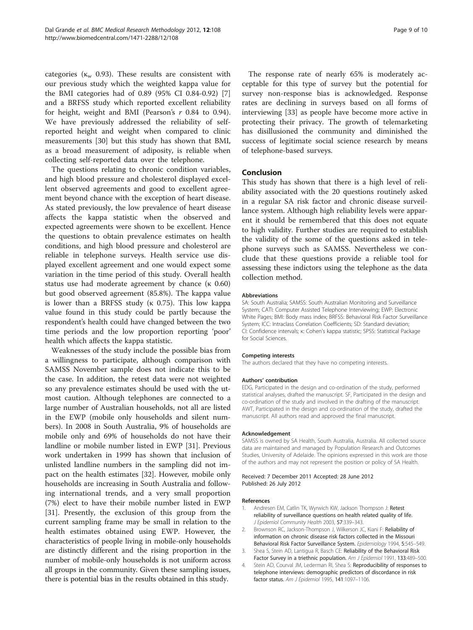<span id="page-8-0"></span>categories ( $\kappa_{w}$  0.93). These results are consistent with our previous study which the weighted kappa value for the BMI categories had of 0.89 (95% CI 0.84-0.92) [\[7](#page-9-0)] and a BRFSS study which reported excellent reliability for height, weight and BMI (Pearson's  $r$  0.84 to 0.94). We have previously addressed the reliability of selfreported height and weight when compared to clinic measurements [\[30\]](#page-9-0) but this study has shown that BMI, as a broad measurement of adiposity, is reliable when collecting self-reported data over the telephone.

The questions relating to chronic condition variables, and high blood pressure and cholesterol displayed excellent observed agreements and good to excellent agreement beyond chance with the exception of heart disease. As stated previously, the low prevalence of heart disease affects the kappa statistic when the observed and expected agreements were shown to be excellent. Hence the questions to obtain prevalence estimates on health conditions, and high blood pressure and cholesterol are reliable in telephone surveys. Health service use displayed excellent agreement and one would expect some variation in the time period of this study. Overall health status use had moderate agreement by chance (κ 0.60) but good observed agreement (85.8%). The kappa value is lower than a BRFSS study (κ 0.75). This low kappa value found in this study could be partly because the respondent's health could have changed between the two time periods and the low proportion reporting 'poor' health which affects the kappa statistic.

Weaknesses of the study include the possible bias from a willingness to participate, although comparison with SAMSS November sample does not indicate this to be the case. In addition, the retest data were not weighted so any prevalence estimates should be used with the utmost caution. Although telephones are connected to a large number of Australian households, not all are listed in the EWP (mobile only households and silent numbers). In 2008 in South Australia, 9% of households are mobile only and 69% of households do not have their landline or mobile number listed in EWP [[31\]](#page-9-0). Previous work undertaken in 1999 has shown that inclusion of unlisted landline numbers in the sampling did not impact on the health estimates [\[32](#page-9-0)]. However, mobile only households are increasing in South Australia and following international trends, and a very small proportion (7%) elect to have their mobile number listed in EWP [[31\]](#page-9-0). Presently, the exclusion of this group from the current sampling frame may be small in relation to the health estimates obtained using EWP. However, the characteristics of people living in mobile-only households are distinctly different and the rising proportion in the number of mobile-only households is not uniform across all groups in the community. Given these sampling issues, there is potential bias in the results obtained in this study.

The response rate of nearly 65% is moderately acceptable for this type of survey but the potential for survey non-response bias is acknowledged. Response rates are declining in surveys based on all forms of interviewing [\[33\]](#page-9-0) as people have become more active in protecting their privacy. The growth of telemarketing has disillusioned the community and diminished the success of legitimate social science research by means of telephone-based surveys.

#### Conclusion

This study has shown that there is a high level of reliability associated with the 20 questions routinely asked in a regular SA risk factor and chronic disease surveillance system. Although high reliability levels were apparent it should be remembered that this does not equate to high validity. Further studies are required to establish the validity of the some of the questions asked in telephone surveys such as SAMSS. Nevertheless we conclude that these questions provide a reliable tool for assessing these indictors using the telephone as the data collection method.

#### Abbreviations

SA: South Australia; SAMSS: South Australian Monitoring and Surveillance System; CATI: Computer Assisted Telephone Interviewing; EWP: Electronic White Pages; BMI: Body mass index; BRFSS: Behavioral Risk Factor Surveillance System; ICC: Intraclass Correlation Coefficients; SD: Standard deviation; CI: Confidence intervals; κ: Cohen's kappa statistic; SPSS: Statistical Package for Social Sciences.

#### Competing interests

The authors declared that they have no competing interests.

#### Authors' contribution

EDG, Participated in the design and co-ordination of the study, performed statistical analyses, drafted the manuscript. SF, Participated in the design and co-ordination of the study and involved in the drafting of the manuscript. AWT, Participated in the design and co-ordination of the study, drafted the manuscript. All authors read and approved the final manuscript.

#### Acknowledgement

SAMSS is owned by SA Health, South Australia, Australia. All collected source data are maintained and managed by Population Research and Outcomes Studies, University of Adelaide. The opinions expressed in this work are those of the authors and may not represent the position or policy of SA Health.

#### Received: 7 December 2011 Accepted: 28 June 2012 Published: 26 July 2012

#### References

- 1. Andresen EM, Catlin TK, Wyrwich KW, Jackson Thompson J: Retest reliability of surveillance questions on health related quality of life. J Epidemiol Community Health 2003, 57:339–343.
- 2. Brownson RC, Jackson-Thompson J, Wilkerson JC, Kiani F: Reliability of information on chronic disease risk factors collected in the Missouri Behavioral Risk Factor Surveillance System. Epidemiology 1994, 5:545–549.
- 3. Shea S, Stein AD, Lantigua R, Basch CE: Reliability of the Behavioral Risk Factor Survey in a triethnic population. Am J Epidemiol 1991, 133:489-500.
- 4. Stein AD, Courval JM, Lederman RI, Shea S: Reproducibility of responses to telephone interviews: demographic predictors of discordance in risk factor status. Am J Epidemiol 1995, 141:1097–1106.